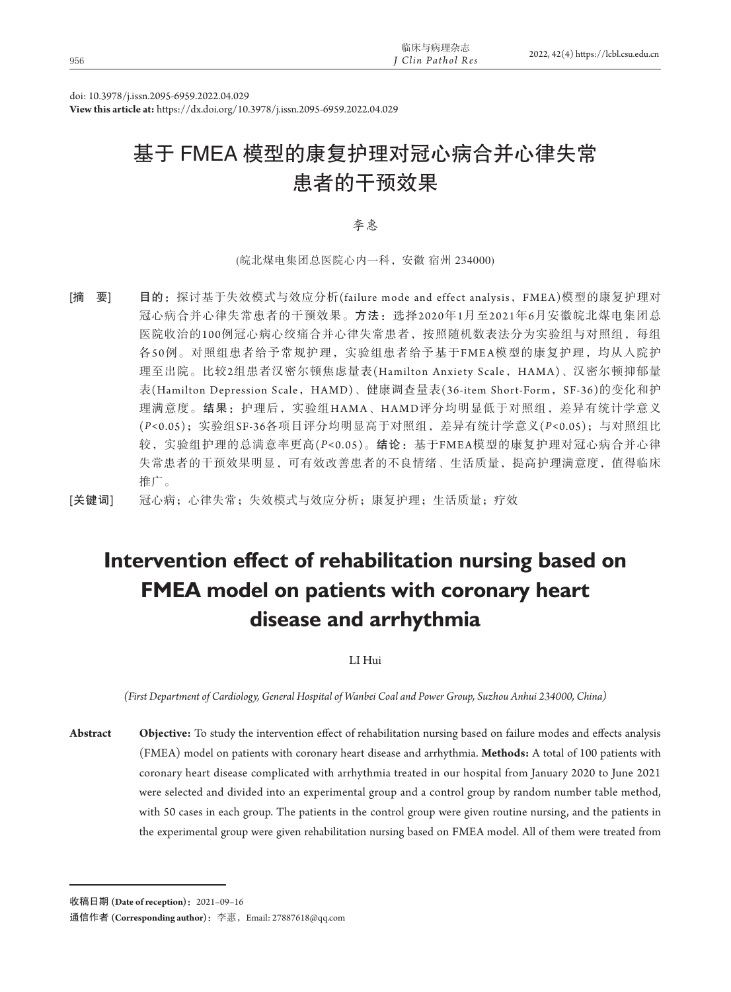doi: 10.3978/j.issn.2095-6959.2022.04.029

**View this article at:** https://dx.doi.org/10.3978/j.issn.2095-6959.2022.04.029

# 基于 FMEA 模型的康复护理对冠心病合并心律失常 患者的干预效果

李惠

(皖北煤电集团总医院心内一科,安徽 宿州 234000)

[摘 要] 目的: 探讨基于失效模式与效应分析(failure mode and effect analysis, FMEA)模型的康复护理对 冠心病合并心律失常患者的干预效果。方法:选择2020年1月至2021年6月安徽皖北煤电集团总 医院收治的100例冠心病心绞痛合并心律失常患者,按照随机数表法分为实验组与对照组,每组 各5 0例。对照组患者给予常规护理,实验组患者给予基于FMEA模型的康复护理,均从入院护 理至出院。比较2组患者汉密尔顿焦虑量表(Hamilton Anxiety Scale, HAMA)、汉密尔顿抑郁量 表(Hamilton Depression Scale, HAMD)、健康调查量表(36-item Short-Form, SF-36)的变化和护 理满意度。结果:护理后,实验组HAMA、HAMD评分均明显低于对照组,差异有统计学意义 (*P<*0.05);实验组SF-36各项目评分均明显高于对照组,差异有统计学意义(*P<*0.05);与对照组比 较,实验组护理的总满意率更高(*P<*0.05)。结论:基于FMEA模型的康复护理对冠心病合并心律 失常患者的干预效果明显,可有效改善患者的不良情绪、生活质量,提高护理满意度,值得临床 推广。

[关键词] 冠心病;心律失常;失效模式与效应分析;康复护理;生活质量;疗效

# **Intervention effect of rehabilitation nursing based on FMEA model on patients with coronary heart disease and arrhythmia**

LI Hui

*(First Department of Cardiology, General Hospital of Wanbei Coal and Power Group, Suzhou Anhui 234000, China)*

**Abstract Objective:** To study the intervention effect of rehabilitation nursing based on failure modes and effects analysis (FMEA) model on patients with coronary heart disease and arrhythmia. **Methods:** A total of 100 patients with coronary heart disease complicated with arrhythmia treated in our hospital from January 2020 to June 2021 were selected and divided into an experimental group and a control group by random number table method, with 50 cases in each group. The patients in the control group were given routine nursing, and the patients in the experimental group were given rehabilitation nursing based on FMEA model. All of them were treated from

收稿日期 **(Date of reception)**:2021–09–16

通信作者 **(Corresponding author)**:李惠,Email: 27887618@qq.com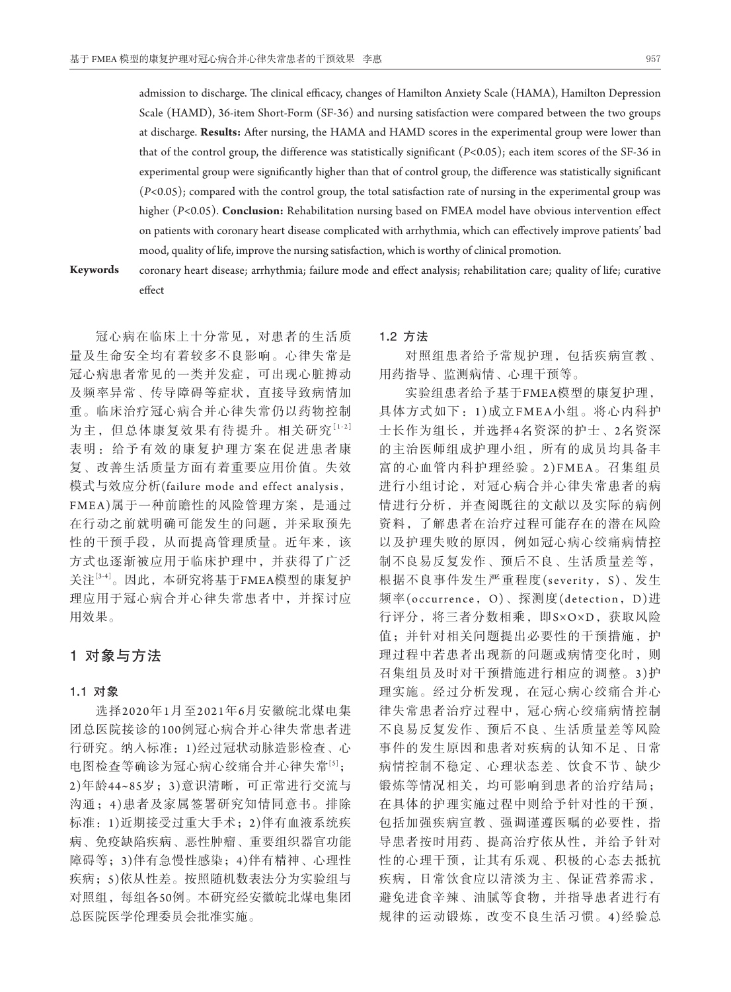admission to discharge. The clinical efficacy, changes of Hamilton Anxiety Scale (HAMA), Hamilton Depression Scale (HAMD), 36-item Short-Form (SF-36) and nursing satisfaction were compared between the two groups at discharge. **Results:** After nursing, the HAMA and HAMD scores in the experimental group were lower than that of the control group, the difference was statistically significant (*P<*0.05); each item scores of the SF-36 in experimental group were significantly higher than that of control group, the difference was statistically significant (*P<*0.05); compared with the control group, the total satisfaction rate of nursing in the experimental group was higher (*P<*0.05). **Conclusion:** Rehabilitation nursing based on FMEA model have obvious intervention effect on patients with coronary heart disease complicated with arrhythmia, which can effectively improve patients' bad mood, quality of life, improve the nursing satisfaction, which is worthy of clinical promotion.

**Keywords** coronary heart disease; arrhythmia; failure mode and effect analysis; rehabilitation care; quality of life; curative

effect

冠心病在临床上十分常见,对患者的生活质 量及生命安全均有着较多不良影响。心律失常是 冠心病患者常见的一类并发症,可出现心脏搏动 及频率异常、传导障碍等症状,直接导致病情加 重。临床治疗冠心病合并心律失常仍以药物控制 为主,但总体康复效果有待提升。相关研究[1-2] 表明:给予有效的康复护理方案在促进患者康 复、改善生活质量方面有着重要应用价值。失效 模式与效应分析(failure mode and effect analysis, FMEA)属于一种前瞻性的风险管理方案,是通过 在行动之前就明确可能发生的问题,并采取预先 性的干预手段,从而提高管理质量。近年来,该 方式也逐渐被应用于临床护理中,并获得了广泛 关注[3-4]。因此,本研究将基于FMEA模型的康复护 理应用于冠心病合并心律失常患者中,并探讨应 用效果。

# 1对象与方法

#### 1**.**1对象

选择2020年1月至2021年6月安徽皖北煤电集 团总医院接诊的100例冠心病合并心律失常患者进 行研究。纳入标准:1)经过冠状动脉造影检查、心 电图检查等确诊为冠心病心绞痛合并心律失常[5]; 2)年龄44~85岁;3)意识清晰,可正常进行交流与 沟通;4 )患者及家属签署研究知情同意书。排除 标准:1)近期接受过重大手术;2)伴有血液系统疾 病、免疫缺陷疾病、恶性肿瘤、重要组织器官功能 障碍等;3)伴有急慢性感染;4)伴有精神、心理性 疾病;5)依从性差。按照随机数表法分为实验组与 对照组,每组各50例。本研究经安徽皖北煤电集团 总医院医学伦理委员会批准实施。

### 1**.**2方法

对照组患者给予常规护理,包括疾病宣教、 用药指导、监测病情、心理干预等。

实验组患者给予基于FMEA模型的康复护理, 具体方式如下:1 )成立FMEA小组。将心内科护 士长作为组长,并选择4名资深的护士、2名资深 的主治医师组成护理小组,所有的成员均具备丰 富的心血管内科护理经验。2)FMEA。召集组员 进行小组讨论,对冠心病合并心律失常患者的病 情进行分析,并查阅既往的文献以及实际的病例 资料,了解患者在治疗过程可能存在的潜在风险 以及护理失败的原因,例如冠心病心绞痛病情控 制不良易反复发作、预后不良、生活质量差等, 根据不良事件发生严重程度(severity, S)、发生 频率(occurrence,O)、探测度(detection,D)进 行评分,将三者分数相乘,即S×O×D,获取风险 值;并针对相关问题提出必要性的干预措施,护 理过程中若患者出现新的问题或病情变化时, 则 召集组员及时对干预措施进行相应的调整。3 )护 理实施。经过分析发现,在冠心病心绞痛合并心 律失常患者治疗过程中,冠心病心绞痛病情控制 不良易反复发作、预后不良、生活质量差等风险 事件的发生原因和患者对疾病的认知不足、日常 病情控制不稳定、心理状态差、饮食不节、缺少 锻炼等情况相关,均可影响到患者的治疗结局; 在具体的护理实施过程中则给予针对性的干预, 包括加强疾病宣教、强调谨遵医嘱的必要性,指 导患者按时用药、提高治疗依从性,并给予针对 性的心理干预,让其有乐观、积极的心态去抵抗 疾病,日常饮食应以清淡为主、保证营养需求, 避免进食辛辣、油腻等食物,并指导患者进行有 规律的运动锻炼,改变不良生活习惯。4)经验总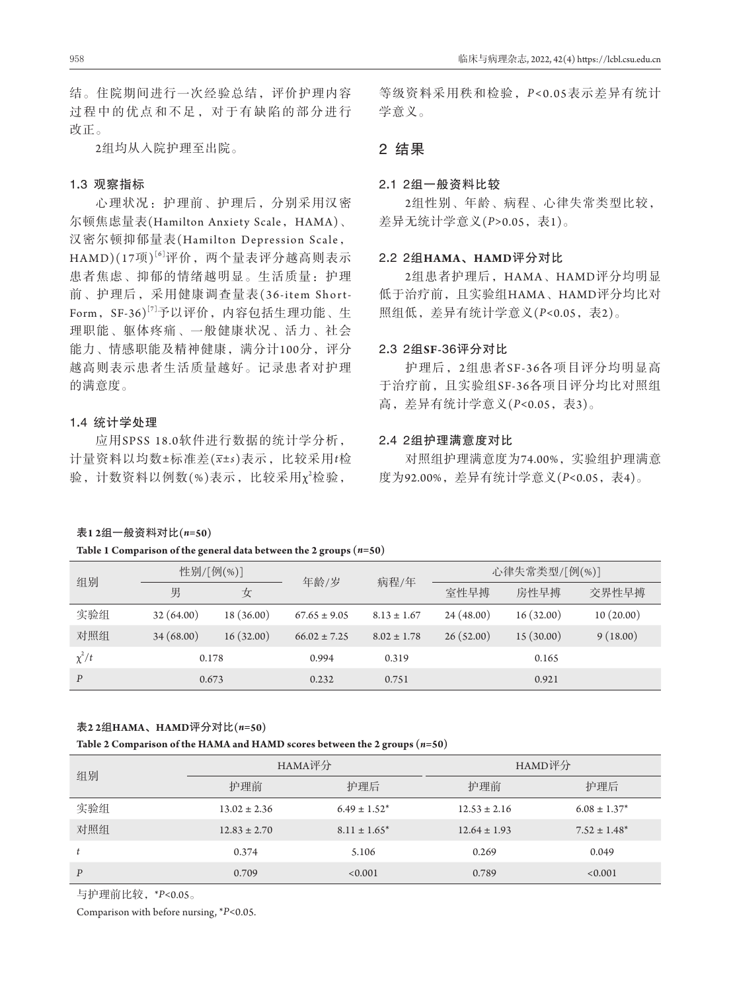结。住院期间进行一次经验总结,评价护理内容 过程中的优点和不足,对于有缺陷的部分进行 改正。

2组均从入院护理至出院。

#### 1**.**3观察指标

心理状况:护理前、护理后,分别采用汉密 尔顿焦虑量表(Hamilton Anxiety Scale, HAMA)、 汉密尔顿抑郁量表(Hamilton Depression Scale, HAMD)(17项)<sup>[6]</sup>评价,两个量表评分越高则表示 患者焦虑、抑郁的情绪越明显。生活质量:护理 前、护理后,采用健康调查量表(36-item Short-Form,  $SF-36$ <sup>[7]</sup>予以评价, 内容包括生理功能、生 理职能、躯体疼痛、一般健康状况、活力、社会 能力、情感职能及精神健康,满分计100分,评分 越高则表示患者生活质量越好。记录患者对护理 的满意度。

# 1**.**4统计学处理

应用SPSS 18.0软件进行数据的统计学分析, 计量资料以均数±标准差(*x*±*s*)表示,比较采用*t*检 验, 计数资料以例数(%)表示, 比较采用χ2检验,

等级资料采用秩和检验,*P <*0.05表示差异有统计 学意义。

# 2结果

#### 2**.**12组一般资料比较

2组性别、年龄、病程、心律失常类型比较, 差异无统计学意义(*P>*0.05,表1)。

### 2**.**22组**HAMA**、**HAMD**评分对比

2组患者护理后,HAMA、HAMD评分均明显 低于治疗前,且实验组HAMA、HAMD评分均比对 照组低,差异有统计学意义(*P<*0.05,表2)。

### 2**.**32组**SF-**36评分对比

护理后,2组患者SF-36各项目评分均明显高 于治疗前,且实验组SF-36各项目评分均比对照组 高,差异有统计学意义(*P<*0.05,表3)。

# 2**.**42组护理满意度对比

对照组护理满意度为74.00%,实验组护理满意 度为92.00%,差异有统计学意义(*P<*0.05,表4)。

#### 表**1 2**组一般资料对比**(***n=***50)**

#### **Table 1 Comparison of the general data between the 2 groups (***n=***50)**

| 组别         | 性别/[例(%)] |            | 年龄/岁             |                 | 心律失常类型/[例(%)] |           |           |
|------------|-----------|------------|------------------|-----------------|---------------|-----------|-----------|
|            | 男         | 女          |                  | 病程/年            | 室性早搏          | 房性早搏      | 交界性早搏     |
| 实验组        | 32(64.00) | 18 (36.00) | $67.65 \pm 9.05$ | $8.13 \pm 1.67$ | 24(48.00)     | 16(32.00) | 10(20.00) |
| 对照组        | 34(68.00) | 16(32.00)  | $66.02 \pm 7.25$ | $8.02 \pm 1.78$ | 26(52.00)     | 15(30.00) | 9(18.00)  |
| $\chi^2/t$ | 0.178     |            | 0.994            | 0.319           |               | 0.165     |           |
| P          | 0.673     |            | 0.232            | 0.751           |               | 0.921     |           |

#### 表**2 2**组**HAMA**、**HAMD**评分对比**(***n=***50)**

#### **Table 2 Comparison of the HAMA and HAMD scores between the 2 groups (***n=***50)**

|                  |                  | HAMA评分            | HAMD评分           |                   |  |
|------------------|------------------|-------------------|------------------|-------------------|--|
| 组别               | 护理前<br>护理后       |                   | 护理前              | 护理后               |  |
| 实验组              | $13.02 \pm 2.36$ | $6.49 \pm 1.52^*$ | $12.53 \pm 2.16$ | $6.08 \pm 1.37^*$ |  |
| 对照组              | $12.83 \pm 2.70$ | $8.11 \pm 1.65^*$ | $12.64 \pm 1.93$ | $7.52 \pm 1.48^*$ |  |
| t                | 0.374            | 5.106             | 0.269            | 0.049             |  |
| $\boldsymbol{P}$ | 0.709            | < 0.001           | 0.789            | < 0.001           |  |

与护理前比较,\**P<*0.05。

Comparison with before nursing, \**P<*0.05.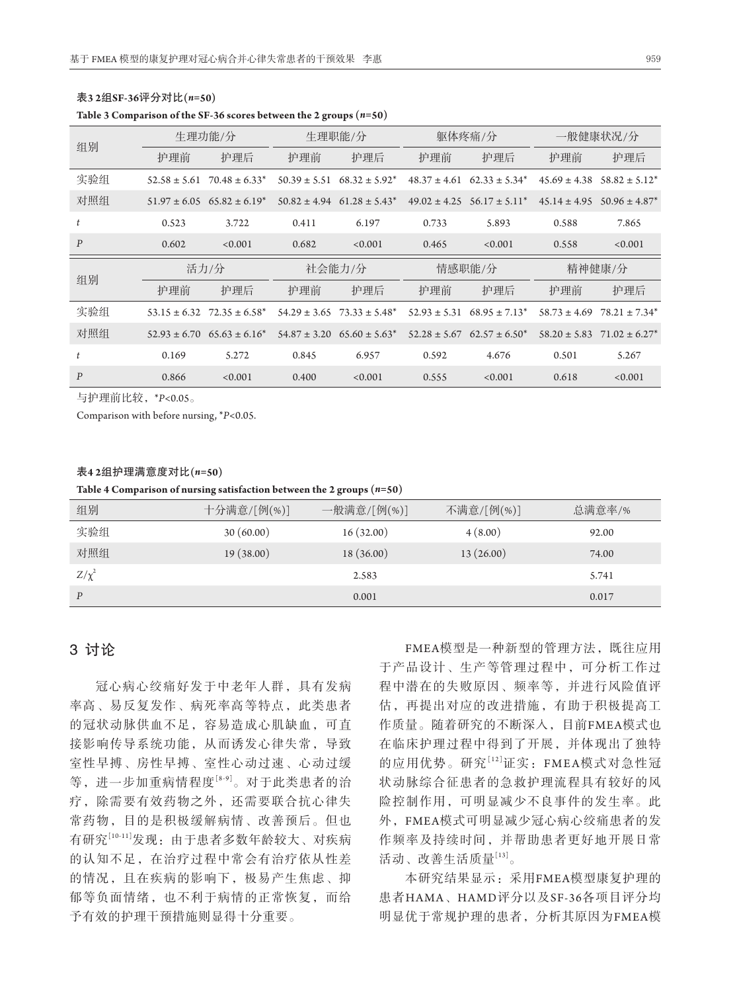| 组别               | 生理功能/分 |                                                | 生理职能/分 |                                     | 躯体疼痛/分 |                                     | 一般健康状况/分 |                                                |
|------------------|--------|------------------------------------------------|--------|-------------------------------------|--------|-------------------------------------|----------|------------------------------------------------|
|                  | 护理前    | 护理后                                            | 护理前    | 护理后                                 | 护理前    | 护理后                                 | 护理前      | 护理后                                            |
| 实验组              |        | $52.58 \pm 5.61$ 70.48 $\pm 6.33$ <sup>*</sup> |        | $50.39 \pm 5.51$ $68.32 \pm 5.92^*$ |        | $48.37 \pm 4.61$ $62.33 \pm 5.34^*$ |          | $45.69 \pm 4.38$ $58.82 \pm 5.12^*$            |
| 对照组              |        | $51.97 \pm 6.05$ 65.82 $\pm 6.19^*$            |        | $50.82 \pm 4.94$ 61.28 $\pm 5.43^*$ |        | $49.02 \pm 4.25$ $56.17 \pm 5.11^*$ |          | $45.14 \pm 4.95$ $50.96 \pm 4.87^*$            |
| t                | 0.523  | 3.722                                          | 0.411  | 6.197                               | 0.733  | 5.893                               | 0.588    | 7.865                                          |
| $\boldsymbol{P}$ | 0.602  | < 0.001                                        | 0.682  | < 0.001                             | 0.465  | < 0.001                             | 0.558    | < 0.001                                        |
|                  |        |                                                |        |                                     |        |                                     |          |                                                |
|                  |        | 活力/分                                           |        | 社会能力/分                              |        | 情感职能/分                              |          | 精神健康/分                                         |
| 组别               | 护理前    | 护理后                                            | 护理前    | 护理后                                 | 护理前    | 护理后                                 | 护理前      | 护理后                                            |
| 实验组              |        | $53.15 \pm 6.32$ $72.35 \pm 6.58^*$            |        | $54.29 \pm 3.65$ 73.33 $\pm 5.48^*$ |        | $52.93 \pm 5.31$ $68.95 \pm 7.13^*$ |          | $58.73 \pm 4.69$ 78.21 $\pm 7.34^*$            |
| 对照组              |        | $52.93 \pm 6.70$ $65.63 \pm 6.16^*$            |        | $54.87 \pm 3.20$ $65.60 \pm 5.63^*$ |        | $52.28 \pm 5.67$ $62.57 \pm 6.50^*$ |          | $58.20 \pm 5.83$ 71.02 $\pm 6.27$ <sup>*</sup> |
|                  | 0.169  | 5.272                                          | 0.845  | 6.957                               | 0.592  | 4.676                               | 0.501    | 5.267                                          |

# 表**3 2**组**SF-36**评分对比**(***n=***50)**

**Table 3 Comparison of the SF-36 scores between the 2 groups (***n=***50)**

与护理前比较,\**P<*0.05。

Comparison with before nursing, \**P<*0.05.

#### 表**4 2**组护理满意度对比**(***n=***50)**

**Table 4 Comparison of nursing satisfaction between the 2 groups (***n=***50)**

| 组别         | 十分满意/[例(%)] | 一般满意/[例(%)] | 不满意/[例(%)] | 总满意率/% |
|------------|-------------|-------------|------------|--------|
| 实验组        | 30(60.00)   | 16(32.00)   | 4(8.00)    | 92.00  |
| 对照组        | 19(38.00)   | 18(36.00)   | 13(26.00)  | 74.00  |
| $Z/\chi^2$ |             | 2.583       |            | 5.741  |
| P          |             | 0.001       |            | 0.017  |

# 3讨论

冠心病心绞痛好发于中老年人群,具有发病 率高、易反复发作、病死率高等特点,此类患者 的冠状动脉供血不足,容易造成心肌缺血,可直 接影响传导系统功能,从而诱发心律失常,导致 室性早搏、房性早搏、室性心动过速、心动过缓 等,进一步加重病情程度[8-9]。对于此类患者的治 疗,除需要有效药物之外,还需要联合抗心律失 常药物,目的是积极缓解病情、改善预后。但也 有研究[10-11]发现:由于患者多数年龄较大、对疾病 的认知不足,在治疗过程中常会有治疗依从性差 的情况,且在疾病的影响下,极易产生焦虑、抑 郁等负面情绪,也不利于病情的正常恢复,而给 予有效的护理干预措施则显得十分重要。

FMEA模型是一种新型的管理方法,既往应用 于产品设计、生产等管理过程中,可分析工作过 程中潜在的失败原因、频率等,并进行风险值评 估,再提出对应的改进措施,有助于积极提高工 作质量。随着研究的不断深入,目前FMEA模式也 在临床护理过程中得到了开展,并体现出了独特 的应用优势。研究<sup>[12]</sup>证实: FMEA模式对急性冠 状动脉综合征患者的急救护理流程具有较好的风 险控制作用,可明显减少不良事件的发生率。此 外,FMEA模式可明显减少冠心病心绞痛患者的发 作频率及持续时间,并帮助患者更好地开展日常 活动、改善生活质量[13]。

本研究结果显示:采用FMEA模型康复护理的 患者HAMA、HAMD评分以及SF-36各项目评分均 明显优于常规护理的患者,分析其原因为FMEA模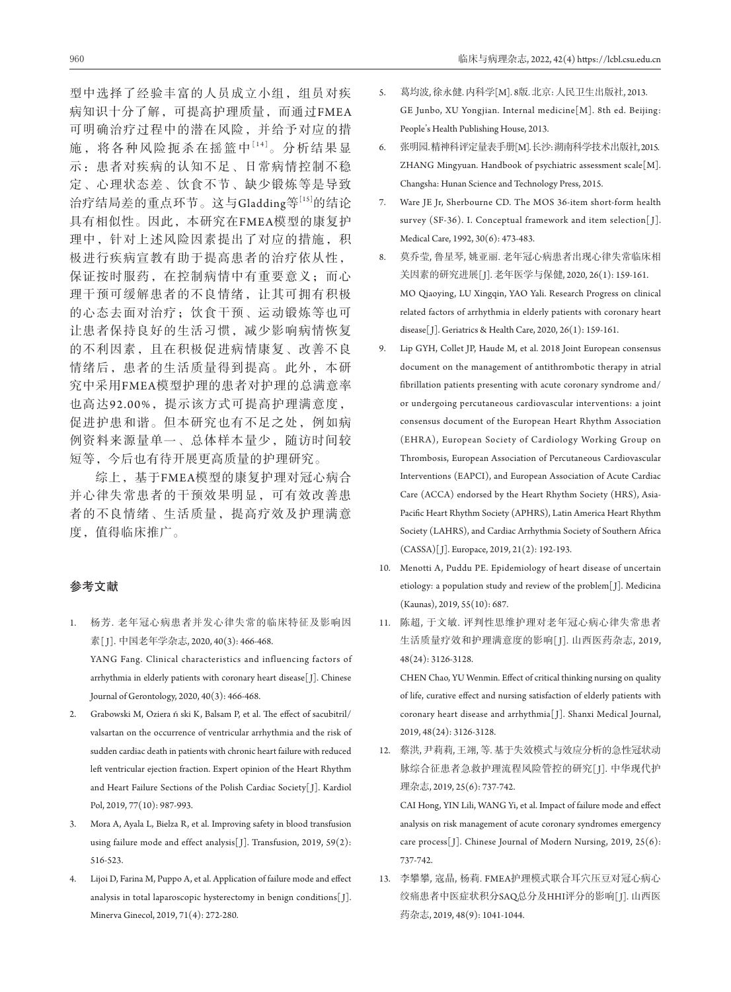型中选择了经验丰富的人员成立小组,组员对疾 病知识十分了解,可提高护理质量,而通过FMEA 可明确治疗过程中的潜在风险,并给予对应的措 施,将各种风险扼杀在摇篮中[14]。分析结果显 示:患者对疾病的认知不足、日常病情控制不稳 定、心理状态差、饮食不节、缺少锻炼等是导致 治疗结局差的重点环节。这与Gladding等[15]的结论 具有相似性。因此,本研究在FMEA模型的康复护 理中,针对上述风险因素提出了对应的措施,积 极进行疾病宣教有助于提高患者的治疗依从性, 保证按时服药,在控制病情中有重要意义;而心 理干预可缓解患者的不良情绪,让其可拥有积极 的心态去面对治疗;饮食干预、运动锻炼等也可

让患者保持良好的生活习惯,减少影响病情恢复 的不利因素,且在积极促进病情康复、改善不良 情绪后,患者的生活质量得到提高。此外,本研 究中采用FMEA模型护理的患者对护理的总满意率 也高达92.00%,提示该方式可提高护理满意度, 促进护患和谐。但本研究也有不足之处,例如病 例资料来源量单一、总体样本量少,随访时间较 短等,今后也有待开展更高质量的护理研究。

综上,基于FMEA模型的康复护理对冠心病合 并心律失常患者的干预效果明显,可有效改善患 者的不良情绪、生活质量,提高疗效及护理满意 度,值得临床推广。

# 参考文献

- 1. 杨芳. 老年冠心病患者并发心律失常的临床特征及影响因 素[J]. 中国老年学杂志, 2020, 40(3): 466-468. YANG Fang. Clinical characteristics and influencing factors of arrhythmia in elderly patients with coronary heart disease[J]. Chinese Journal of Gerontology, 2020, 40(3): 466-468.
- 2. Grabowski M, Oziera ński K, Balsam P, et al. The effect of sacubitril/ valsartan on the occurrence of ventricular arrhythmia and the risk of sudden cardiac death in patients with chronic heart failure with reduced left ventricular ejection fraction. Expert opinion of the Heart Rhythm and Heart Failure Sections of the Polish Cardiac Society[ J]. Kardiol Pol, 2019, 77(10): 987-993.
- 3. Mora A, Ayala L, Bielza R, et al. Improving safety in blood transfusion using failure mode and effect analysis[J]. Transfusion, 2019, 59(2): 516-523.
- 4. Lijoi D, Farina M, Puppo A, et al. Application of failure mode and effect analysis in total laparoscopic hysterectomy in benign conditions[ J]. Minerva Ginecol, 2019, 71(4): 272-280.
- 5. 葛均波, 徐永健. 内科学[M]. 8版. 北京: 人民卫生出版社, 2013. GE Junbo, XU Yongjian. Internal medicine[M]. 8th ed. Beijing: People's Health Publishing House, 2013.
- 6. 张明园. 精神科评定量表手册[M]. 长沙: 湖南科学技术出版社, 2015. ZHANG Mingyuan. Handbook of psychiatric assessment scale[M]. Changsha: Hunan Science and Technology Press, 2015.
- 7. Ware JE Jr, Sherbourne CD. The MOS 36-item short-form health survey (SF-36). I. Conceptual framework and item selection[J]. Medical Care, 1992, 30(6): 473-483.
- 8. 莫乔莹, 鲁星琴, 姚亚丽. 老年冠心病患者出现心律失常临床相 关因素的研究进展[ J]. 老年医学与保健, 2020, 26(1): 159-161. MO Qiaoying, LU Xingqin, YAO Yali. Research Progress on clinical related factors of arrhythmia in elderly patients with coronary heart disease[ J]. Geriatrics & Health Care, 2020, 26(1): 159-161.
- 9. Lip GYH, Collet JP, Haude M, et al. 2018 Joint European consensus document on the management of antithrombotic therapy in atrial fibrillation patients presenting with acute coronary syndrome and/ or undergoing percutaneous cardiovascular interventions: a joint consensus document of the European Heart Rhythm Association (EHRA), European Society of Cardiology Working Group on Thrombosis, European Association of Percutaneous Cardiovascular Interventions (EAPCI), and European Association of Acute Cardiac Care (ACCA) endorsed by the Heart Rhythm Society (HRS), Asia-Pacific Heart Rhythm Society (APHRS), Latin America Heart Rhythm Society (LAHRS), and Cardiac Arrhythmia Society of Southern Africa (CASSA)[ J]. Europace, 2019, 21(2): 192-193.
- 10. Menotti A, Puddu PE. Epidemiology of heart disease of uncertain etiology: a population study and review of the problem[ J]. Medicina (Kaunas), 2019, 55(10): 687.
- 11. 陈超, 于文敏. 评判性思维护理对老年冠心病心律失常患者 生活质量疗效和护理满意度的影响[J]. 山西医药杂志, 2019, 48(24): 3126-3128.

 CHEN Chao, YU Wenmin. Effect of critical thinking nursing on quality of life, curative effect and nursing satisfaction of elderly patients with coronary heart disease and arrhythmia[ J]. Shanxi Medical Journal, 2019, 48(24): 3126-3128.

12. 蔡洪, 尹莉莉, 王翊, 等. 基于失效模式与效应分析的急性冠状动 脉综合征患者急救护理流程风险管控的研究[J]. 中华现代护 理杂志, 2019, 25(6): 737-742.

 CAI Hong, YIN Lili, WANG Yi, et al. Impact of failure mode and effect analysis on risk management of acute coronary syndromes emergency care process[ J]. Chinese Journal of Modern Nursing, 2019, 25(6): 737-742.

13. 李攀攀, 寇晶, 杨莉. FMEA护理模式联合耳穴压豆对冠心病心 绞痛患者中医症状积分SAQ总分及HHI评分的影响[J]. 山西医 药杂志, 2019, 48(9): 1041-1044.